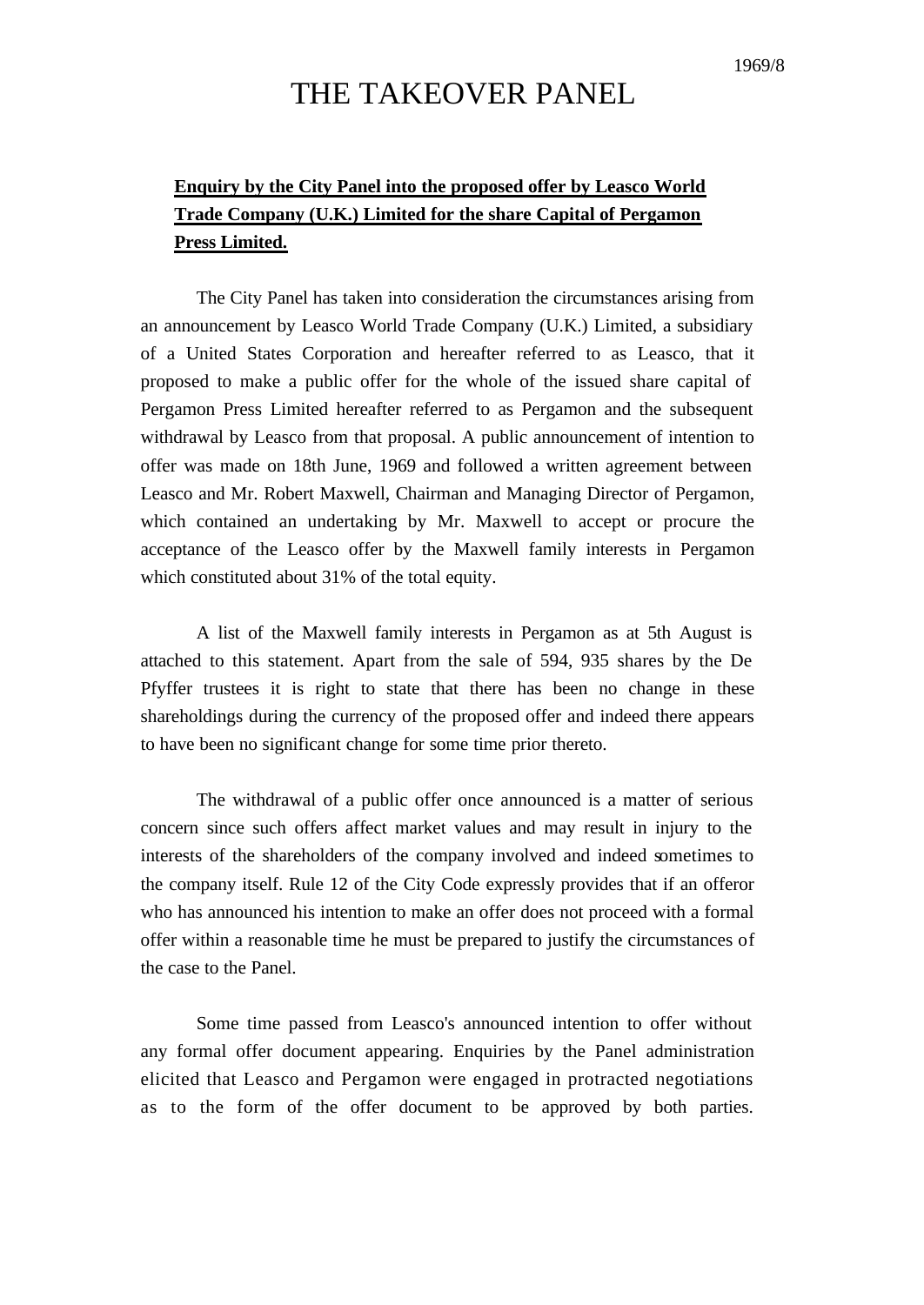# THE TAKEOVER PANEL

### **Enquiry by the City Panel into the proposed offer by Leasco World Trade Company (U.K.) Limited for the share Capital of Pergamon Press Limited.**

The City Panel has taken into consideration the circumstances arising from an announcement by Leasco World Trade Company (U.K.) Limited, a subsidiary of a United States Corporation and hereafter referred to as Leasco, that it proposed to make a public offer for the whole of the issued share capital of Pergamon Press Limited hereafter referred to as Pergamon and the subsequent withdrawal by Leasco from that proposal. A public announcement of intention to offer was made on 18th June, 1969 and followed a written agreement between Leasco and Mr. Robert Maxwell, Chairman and Managing Director of Pergamon, which contained an undertaking by Mr. Maxwell to accept or procure the acceptance of the Leasco offer by the Maxwell family interests in Pergamon which constituted about 31% of the total equity.

A list of the Maxwell family interests in Pergamon as at 5th August is attached to this statement. Apart from the sale of 594, 935 shares by the De Pfyffer trustees it is right to state that there has been no change in these shareholdings during the currency of the proposed offer and indeed there appears to have been no significant change for some time prior thereto.

The withdrawal of a public offer once announced is a matter of serious concern since such offers affect market values and may result in injury to the interests of the shareholders of the company involved and indeed sometimes to the company itself. Rule 12 of the City Code expressly provides that if an offeror who has announced his intention to make an offer does not proceed with a formal offer within a reasonable time he must be prepared to justify the circumstances of the case to the Panel.

Some time passed from Leasco's announced intention to offer without any formal offer document appearing. Enquiries by the Panel administration elicited that Leasco and Pergamon were engaged in protracted negotiations as to the form of the offer document to be approved by both parties.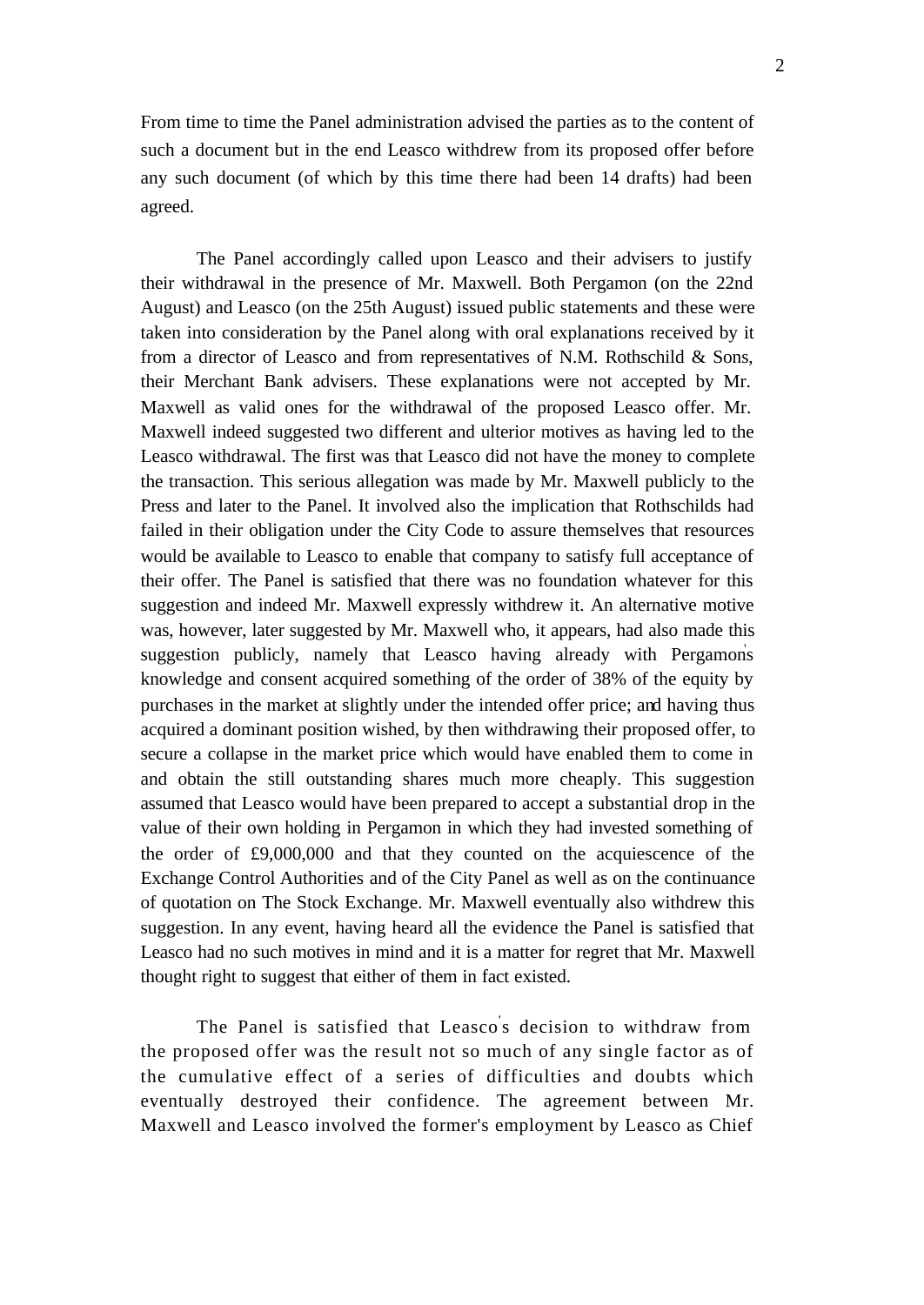From time to time the Panel administration advised the parties as to the content of such a document but in the end Leasco withdrew from its proposed offer before any such document (of which by this time there had been 14 drafts) had been agreed.

The Panel accordingly called upon Leasco and their advisers to justify their withdrawal in the presence of Mr. Maxwell. Both Pergamon (on the 22nd August) and Leasco (on the 25th August) issued public statements and these were taken into consideration by the Panel along with oral explanations received by it from a director of Leasco and from representatives of N.M. Rothschild & Sons, their Merchant Bank advisers. These explanations were not accepted by Mr. Maxwell as valid ones for the withdrawal of the proposed Leasco offer. Mr. Maxwell indeed suggested two different and ulterior motives as having led to the Leasco withdrawal. The first was that Leasco did not have the money to complete the transaction. This serious allegation was made by Mr. Maxwell publicly to the Press and later to the Panel. It involved also the implication that Rothschilds had failed in their obligation under the City Code to assure themselves that resources would be available to Leasco to enable that company to satisfy full acceptance of their offer. The Panel is satisfied that there was no foundation whatever for this suggestion and indeed Mr. Maxwell expressly withdrew it. An alternative motive was, however, later suggested by Mr. Maxwell who, it appears, had also made this suggestion publicly, namely that Leasco having already with Pergamons knowledge and consent acquired something of the order of 38% of the equity by purchases in the market at slightly under the intended offer price; and having thus acquired a dominant position wished, by then withdrawing their proposed offer, to secure a collapse in the market price which would have enabled them to come in and obtain the still outstanding shares much more cheaply. This suggestion assumed that Leasco would have been prepared to accept a substantial drop in the value of their own holding in Pergamon in which they had invested something of the order of £9,000,000 and that they counted on the acquiescence of the Exchange Control Authorities and of the City Panel as well as on the continuance of quotation on The Stock Exchange. Mr. Maxwell eventually also withdrew this suggestion. In any event, having heard all the evidence the Panel is satisfied that Leasco had no such motives in mind and it is a matter for regret that Mr. Maxwell thought right to suggest that either of them in fact existed.

The Panel is satisfied that Leasco' s decision to withdraw from the proposed offer was the result not so much of any single factor as of the cumulative effect of a series of difficulties and doubts which eventually destroyed their confidence. The agreement between Mr. Maxwell and Leasco involved the former's employment by Leasco as Chief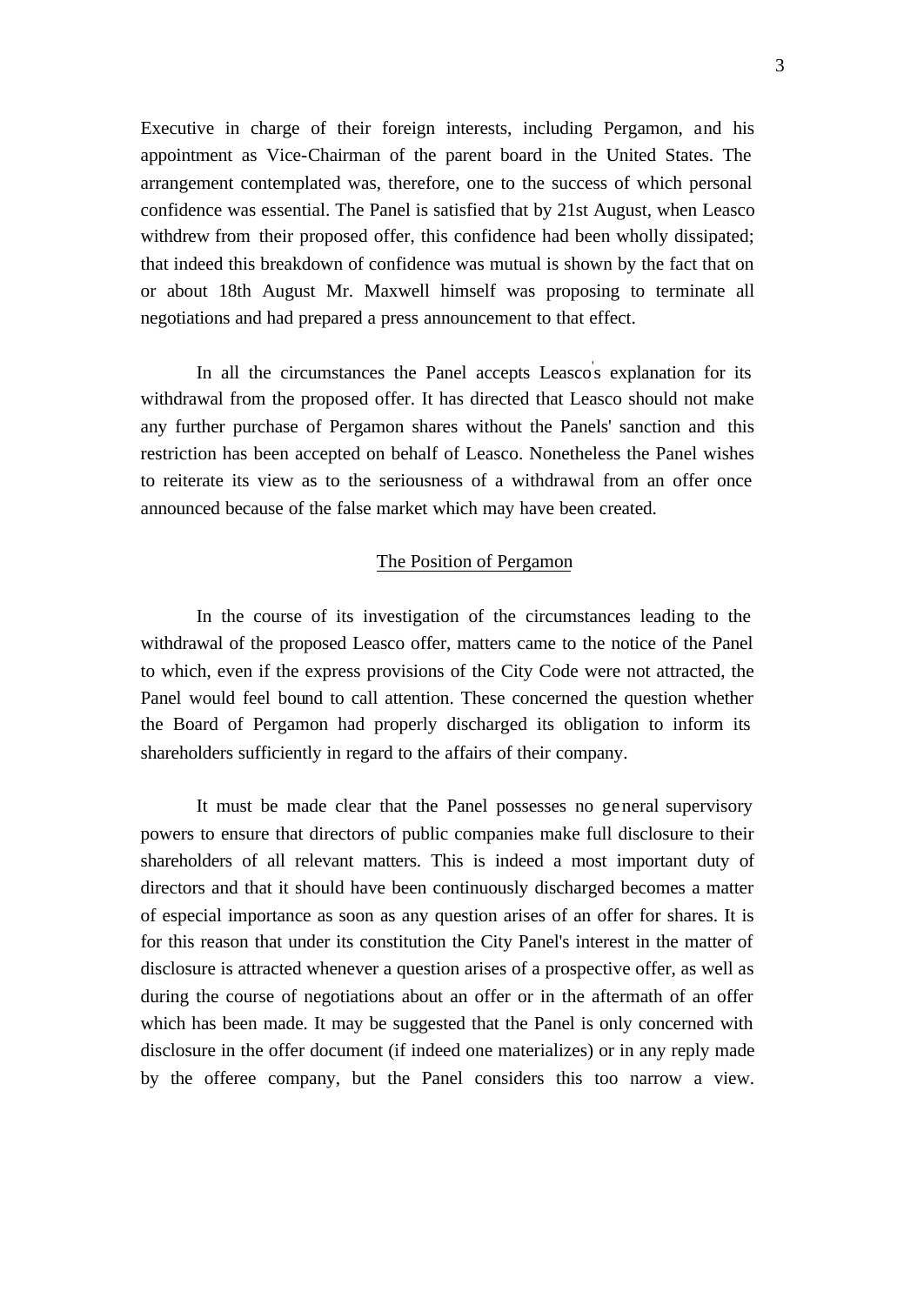Executive in charge of their foreign interests, including Pergamon, and his appointment as Vice-Chairman of the parent board in the United States. The arrangement contemplated was, therefore, one to the success of which personal confidence was essential. The Panel is satisfied that by 21st August, when Leasco withdrew from their proposed offer, this confidence had been wholly dissipated; that indeed this breakdown of confidence was mutual is shown by the fact that on or about 18th August Mr. Maxwell himself was proposing to terminate all negotiations and had prepared a press announcement to that effect.

In all the circumstances the Panel accepts Leasco's explanation for its withdrawal from the proposed offer. It has directed that Leasco should not make any further purchase of Pergamon shares without the Panels' sanction and this restriction has been accepted on behalf of Leasco. Nonetheless the Panel wishes to reiterate its view as to the seriousness of a withdrawal from an offer once announced because of the false market which may have been created.

#### The Position of Pergamon

In the course of its investigation of the circumstances leading to the withdrawal of the proposed Leasco offer, matters came to the notice of the Panel to which, even if the express provisions of the City Code were not attracted, the Panel would feel bound to call attention. These concerned the question whether the Board of Pergamon had properly discharged its obligation to inform its shareholders sufficiently in regard to the affairs of their company.

It must be made clear that the Panel possesses no general supervisory powers to ensure that directors of public companies make full disclosure to their shareholders of all relevant matters. This is indeed a most important duty of directors and that it should have been continuously discharged becomes a matter of especial importance as soon as any question arises of an offer for shares. It is for this reason that under its constitution the City Panel's interest in the matter of disclosure is attracted whenever a question arises of a prospective offer, as well as during the course of negotiations about an offer or in the aftermath of an offer which has been made. It may be suggested that the Panel is only concerned with disclosure in the offer document (if indeed one materializes) or in any reply made by the offeree company, but the Panel considers this too narrow a view.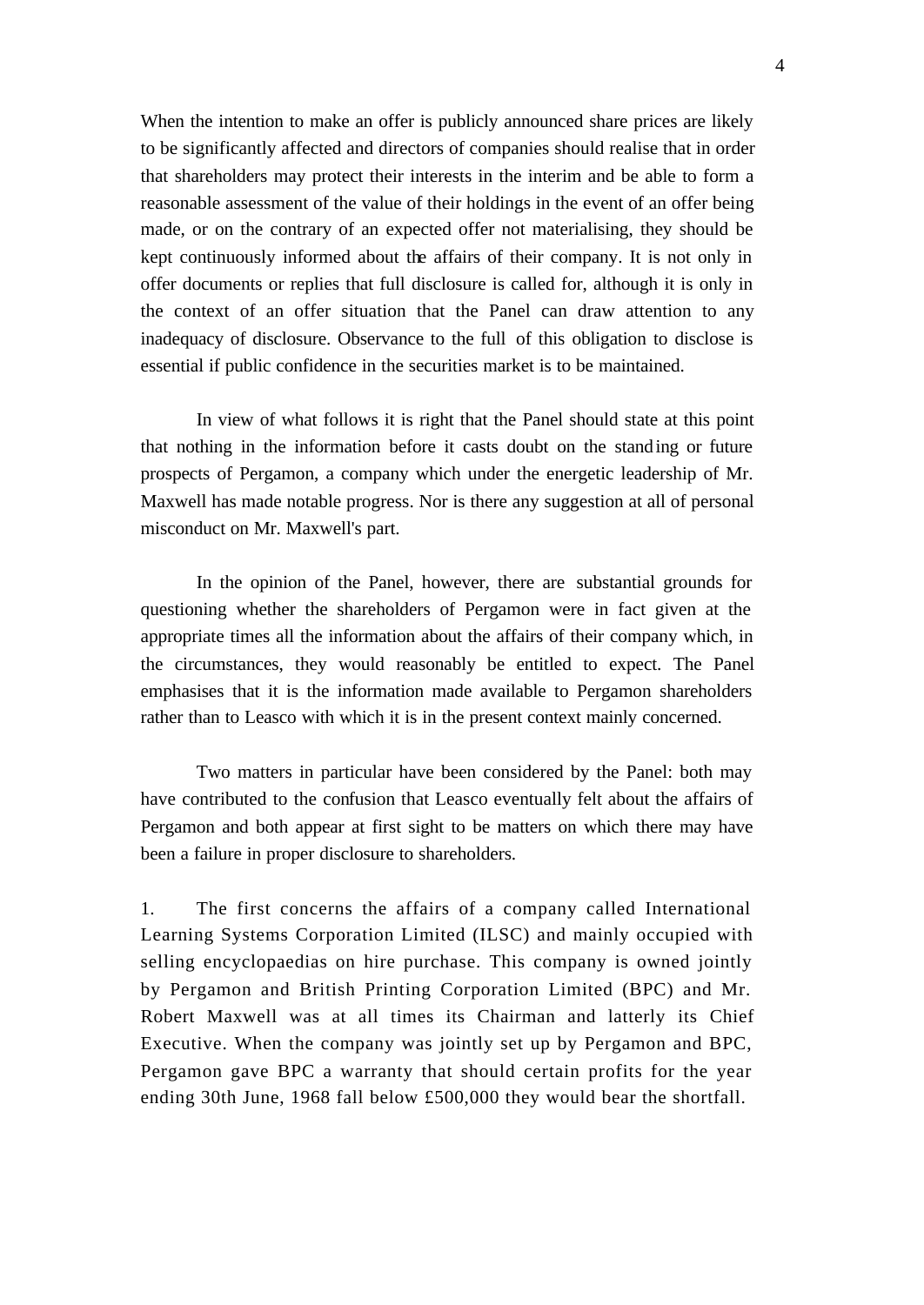When the intention to make an offer is publicly announced share prices are likely to be significantly affected and directors of companies should realise that in order that shareholders may protect their interests in the interim and be able to form a reasonable assessment of the value of their holdings in the event of an offer being made, or on the contrary of an expected offer not materialising, they should be kept continuously informed about the affairs of their company. It is not only in offer documents or replies that full disclosure is called for, although it is only in the context of an offer situation that the Panel can draw attention to any inadequacy of disclosure. Observance to the full of this obligation to disclose is essential if public confidence in the securities market is to be maintained.

In view of what follows it is right that the Panel should state at this point that nothing in the information before it casts doubt on the standing or future prospects of Pergamon, a company which under the energetic leadership of Mr. Maxwell has made notable progress. Nor is there any suggestion at all of personal misconduct on Mr. Maxwell's part.

In the opinion of the Panel, however, there are substantial grounds for questioning whether the shareholders of Pergamon were in fact given at the appropriate times all the information about the affairs of their company which, in the circumstances, they would reasonably be entitled to expect. The Panel emphasises that it is the information made available to Pergamon shareholders rather than to Leasco with which it is in the present context mainly concerned.

Two matters in particular have been considered by the Panel: both may have contributed to the confusion that Leasco eventually felt about the affairs of Pergamon and both appear at first sight to be matters on which there may have been a failure in proper disclosure to shareholders.

1. The first concerns the affairs of a company called International Learning Systems Corporation Limited (ILSC) and mainly occupied with selling encyclopaedias on hire purchase. This company is owned jointly by Pergamon and British Printing Corporation Limited (BPC) and Mr. Robert Maxwell was at all times its Chairman and latterly its Chief Executive. When the company was jointly set up by Pergamon and BPC, Pergamon gave BPC a warranty that should certain profits for the year ending 30th June, 1968 fall below £500,000 they would bear the shortfall.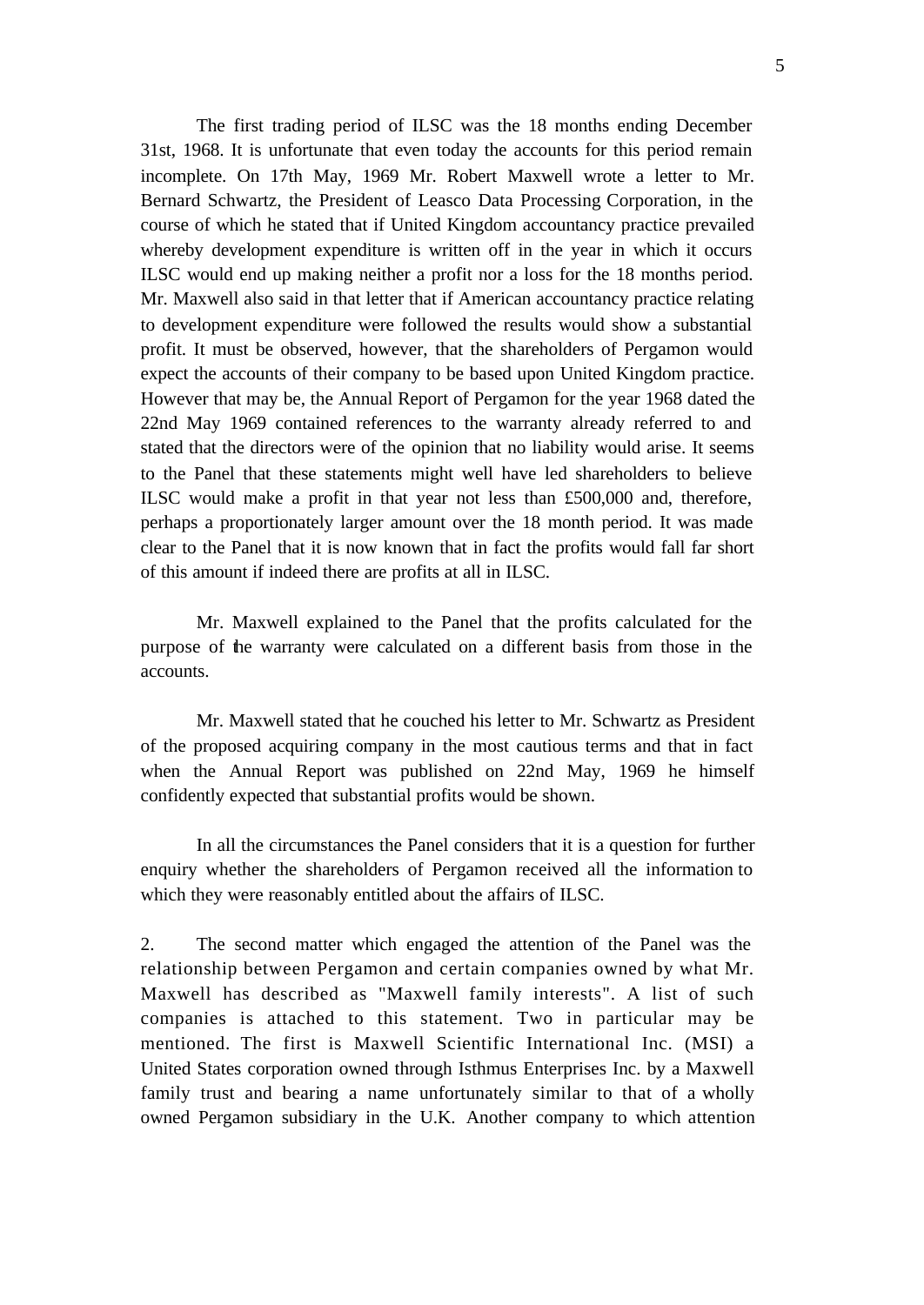The first trading period of ILSC was the 18 months ending December 31st, 1968. It is unfortunate that even today the accounts for this period remain incomplete. On 17th May, 1969 Mr. Robert Maxwell wrote a letter to Mr. Bernard Schwartz, the President of Leasco Data Processing Corporation, in the course of which he stated that if United Kingdom accountancy practice prevailed whereby development expenditure is written off in the year in which it occurs ILSC would end up making neither a profit nor a loss for the 18 months period. Mr. Maxwell also said in that letter that if American accountancy practice relating to development expenditure were followed the results would show a substantial profit. It must be observed, however, that the shareholders of Pergamon would expect the accounts of their company to be based upon United Kingdom practice. However that may be, the Annual Report of Pergamon for the year 1968 dated the 22nd May 1969 contained references to the warranty already referred to and stated that the directors were of the opinion that no liability would arise. It seems to the Panel that these statements might well have led shareholders to believe ILSC would make a profit in that year not less than £500,000 and, therefore, perhaps a proportionately larger amount over the 18 month period. It was made clear to the Panel that it is now known that in fact the profits would fall far short of this amount if indeed there are profits at all in ILSC.

Mr. Maxwell explained to the Panel that the profits calculated for the purpose of the warranty were calculated on a different basis from those in the accounts.

Mr. Maxwell stated that he couched his letter to Mr. Schwartz as President of the proposed acquiring company in the most cautious terms and that in fact when the Annual Report was published on 22nd May, 1969 he himself confidently expected that substantial profits would be shown.

In all the circumstances the Panel considers that it is a question for further enquiry whether the shareholders of Pergamon received all the information to which they were reasonably entitled about the affairs of ILSC.

2. The second matter which engaged the attention of the Panel was the relationship between Pergamon and certain companies owned by what Mr. Maxwell has described as "Maxwell family interests". A list of such companies is attached to this statement. Two in particular may be mentioned. The first is Maxwell Scientific International Inc. (MSI) a United States corporation owned through Isthmus Enterprises Inc. by a Maxwell family trust and bearing a name unfortunately similar to that of a wholly owned Pergamon subsidiary in the U.K. Another company to which attention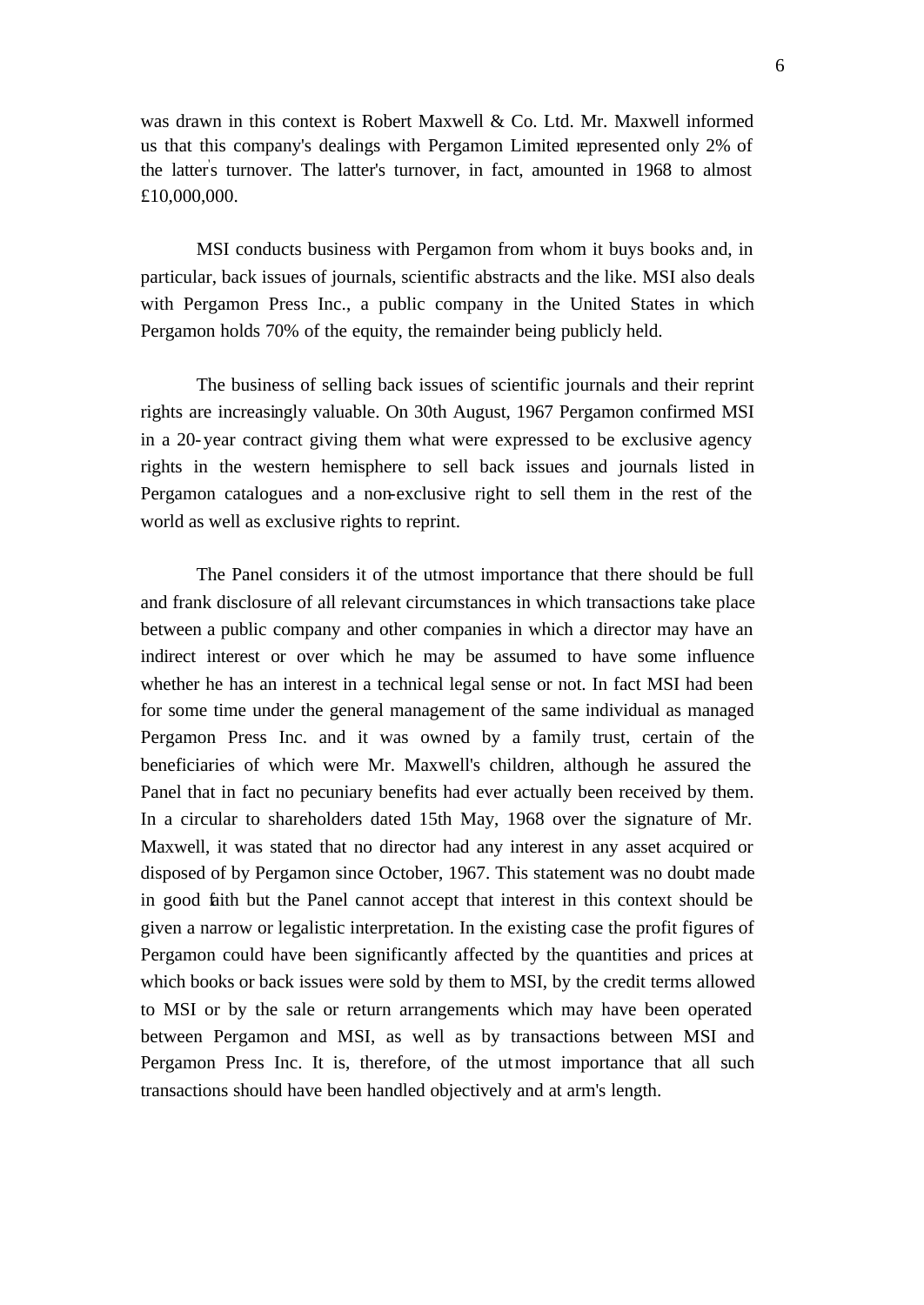was drawn in this context is Robert Maxwell & Co. Ltd. Mr. Maxwell informed us that this company's dealings with Pergamon Limited represented only 2% of the latter' s turnover. The latter's turnover, in fact, amounted in 1968 to almost £10,000,000.

MSI conducts business with Pergamon from whom it buys books and, in particular, back issues of journals, scientific abstracts and the like. MSI also deals with Pergamon Press Inc., a public company in the United States in which Pergamon holds 70% of the equity, the remainder being publicly held.

The business of selling back issues of scientific journals and their reprint rights are increasingly valuable. On 30th August, 1967 Pergamon confirmed MSI in a 20-year contract giving them what were expressed to be exclusive agency rights in the western hemisphere to sell back issues and journals listed in Pergamon catalogues and a non-exclusive right to sell them in the rest of the world as well as exclusive rights to reprint.

The Panel considers it of the utmost importance that there should be full and frank disclosure of all relevant circumstances in which transactions take place between a public company and other companies in which a director may have an indirect interest or over which he may be assumed to have some influence whether he has an interest in a technical legal sense or not. In fact MSI had been for some time under the general management of the same individual as managed Pergamon Press Inc. and it was owned by a family trust, certain of the beneficiaries of which were Mr. Maxwell's children, although he assured the Panel that in fact no pecuniary benefits had ever actually been received by them. In a circular to shareholders dated 15th May, 1968 over the signature of Mr. Maxwell, it was stated that no director had any interest in any asset acquired or disposed of by Pergamon since October, 1967. This statement was no doubt made in good faith but the Panel cannot accept that interest in this context should be given a narrow or legalistic interpretation. In the existing case the profit figures of Pergamon could have been significantly affected by the quantities and prices at which books or back issues were sold by them to MSI, by the credit terms allowed to MSI or by the sale or return arrangements which may have been operated between Pergamon and MSI, as well as by transactions between MSI and Pergamon Press Inc. It is, therefore, of the utmost importance that all such transactions should have been handled objectively and at arm's length.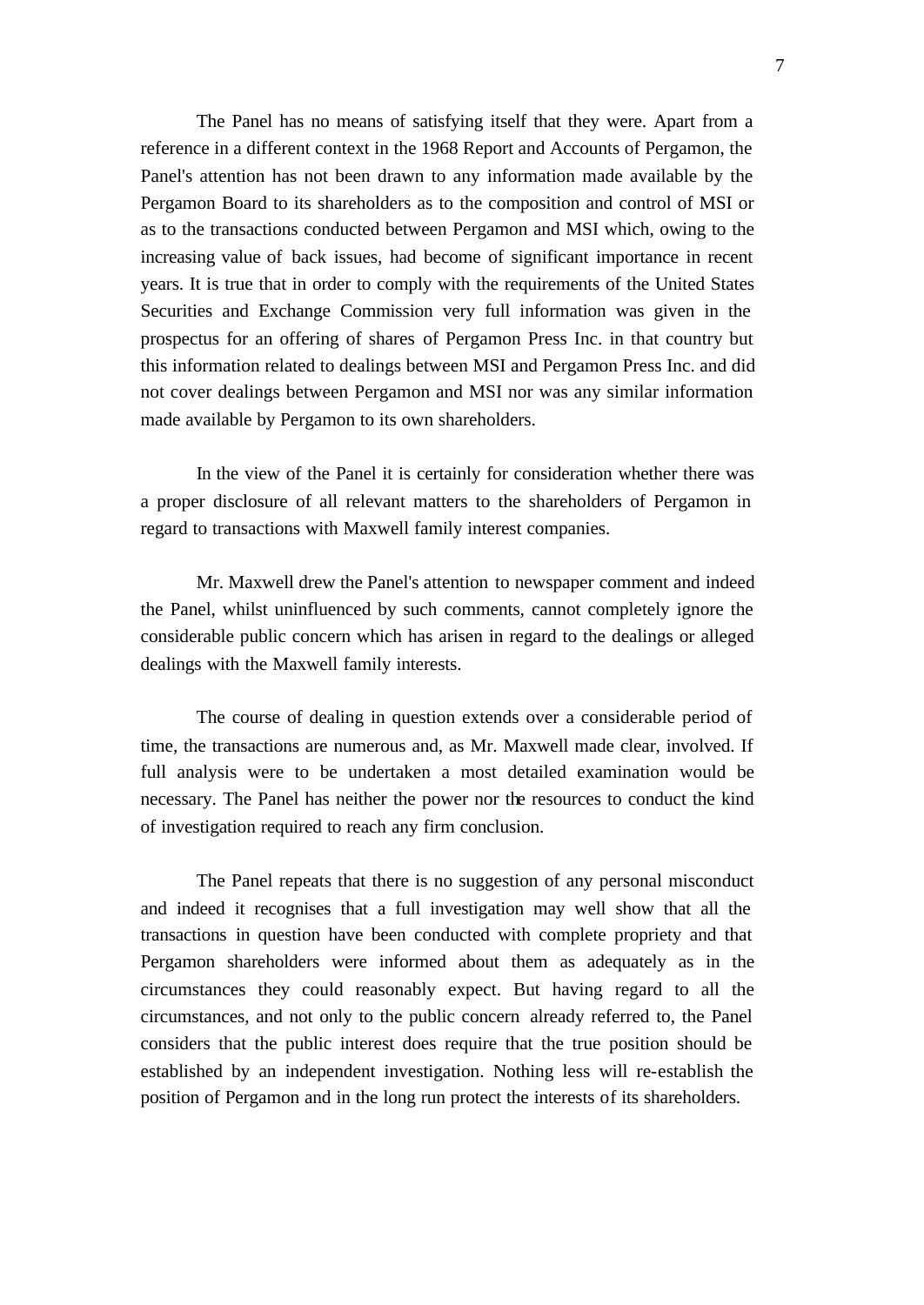The Panel has no means of satisfying itself that they were. Apart from a reference in a different context in the 1968 Report and Accounts of Pergamon, the Panel's attention has not been drawn to any information made available by the Pergamon Board to its shareholders as to the composition and control of MSI or as to the transactions conducted between Pergamon and MSI which, owing to the increasing value of back issues, had become of significant importance in recent years. It is true that in order to comply with the requirements of the United States Securities and Exchange Commission very full information was given in the prospectus for an offering of shares of Pergamon Press Inc. in that country but this information related to dealings between MSI and Pergamon Press Inc. and did not cover dealings between Pergamon and MSI nor was any similar information made available by Pergamon to its own shareholders.

In the view of the Panel it is certainly for consideration whether there was a proper disclosure of all relevant matters to the shareholders of Pergamon in regard to transactions with Maxwell family interest companies.

Mr. Maxwell drew the Panel's attention to newspaper comment and indeed the Panel, whilst uninfluenced by such comments, cannot completely ignore the considerable public concern which has arisen in regard to the dealings or alleged dealings with the Maxwell family interests.

The course of dealing in question extends over a considerable period of time, the transactions are numerous and, as Mr. Maxwell made clear, involved. If full analysis were to be undertaken a most detailed examination would be necessary. The Panel has neither the power nor the resources to conduct the kind of investigation required to reach any firm conclusion.

The Panel repeats that there is no suggestion of any personal misconduct and indeed it recognises that a full investigation may well show that all the transactions in question have been conducted with complete propriety and that Pergamon shareholders were informed about them as adequately as in the circumstances they could reasonably expect. But having regard to all the circumstances, and not only to the public concern already referred to, the Panel considers that the public interest does require that the true position should be established by an independent investigation. Nothing less will re-establish the position of Pergamon and in the long run protect the interests of its shareholders.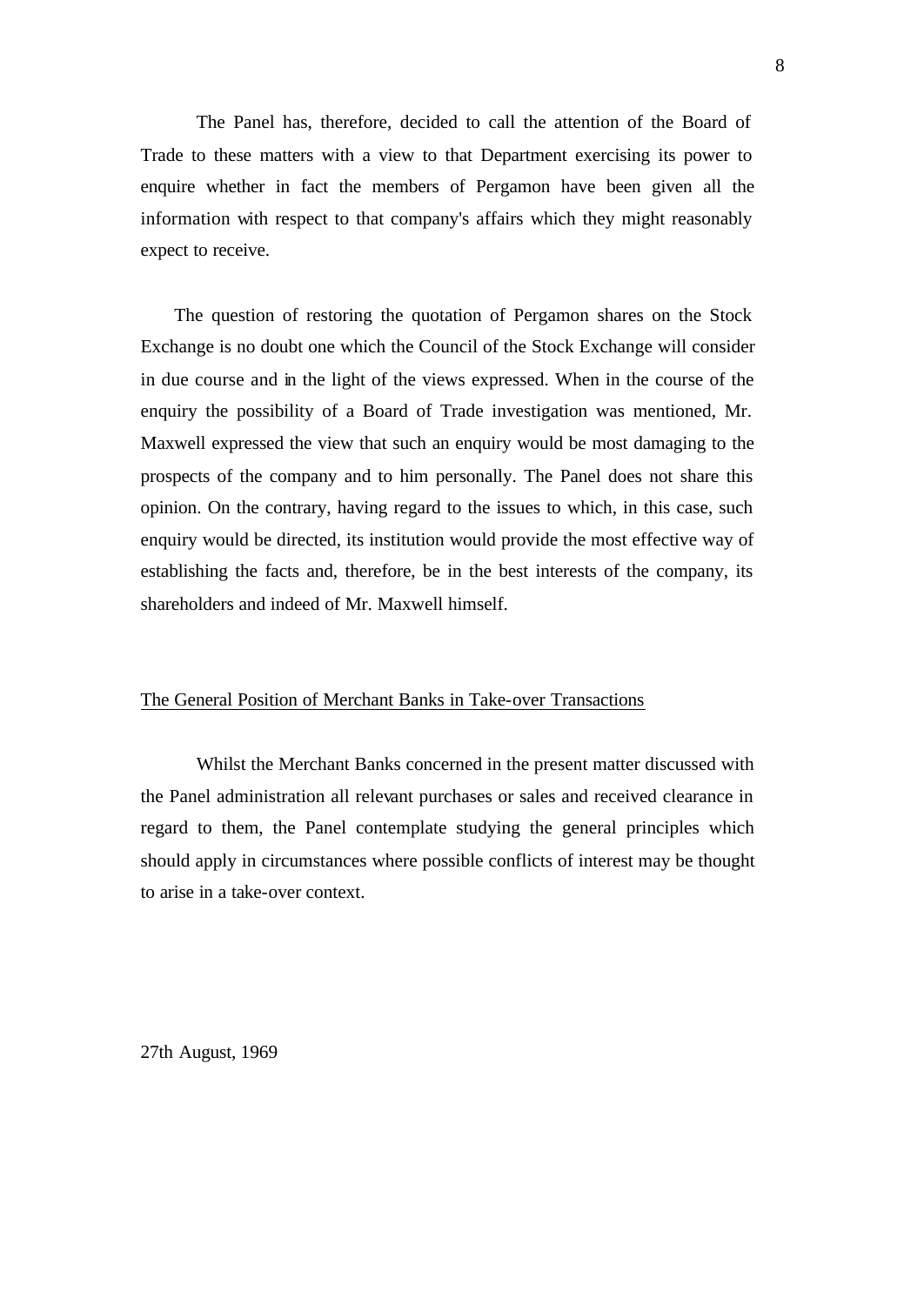The Panel has, therefore, decided to call the attention of the Board of Trade to these matters with a view to that Department exercising its power to enquire whether in fact the members of Pergamon have been given all the information with respect to that company's affairs which they might reasonably expect to receive.

The question of restoring the quotation of Pergamon shares on the Stock Exchange is no doubt one which the Council of the Stock Exchange will consider in due course and in the light of the views expressed. When in the course of the enquiry the possibility of a Board of Trade investigation was mentioned, Mr. Maxwell expressed the view that such an enquiry would be most damaging to the prospects of the company and to him personally. The Panel does not share this opinion. On the contrary, having regard to the issues to which, in this case, such enquiry would be directed, its institution would provide the most effective way of establishing the facts and, therefore, be in the best interests of the company, its shareholders and indeed of Mr. Maxwell himself.

#### The General Position of Merchant Banks in Take-over Transactions

Whilst the Merchant Banks concerned in the present matter discussed with the Panel administration all relevant purchases or sales and received clearance in regard to them, the Panel contemplate studying the general principles which should apply in circumstances where possible conflicts of interest may be thought to arise in a take-over context.

27th August, 1969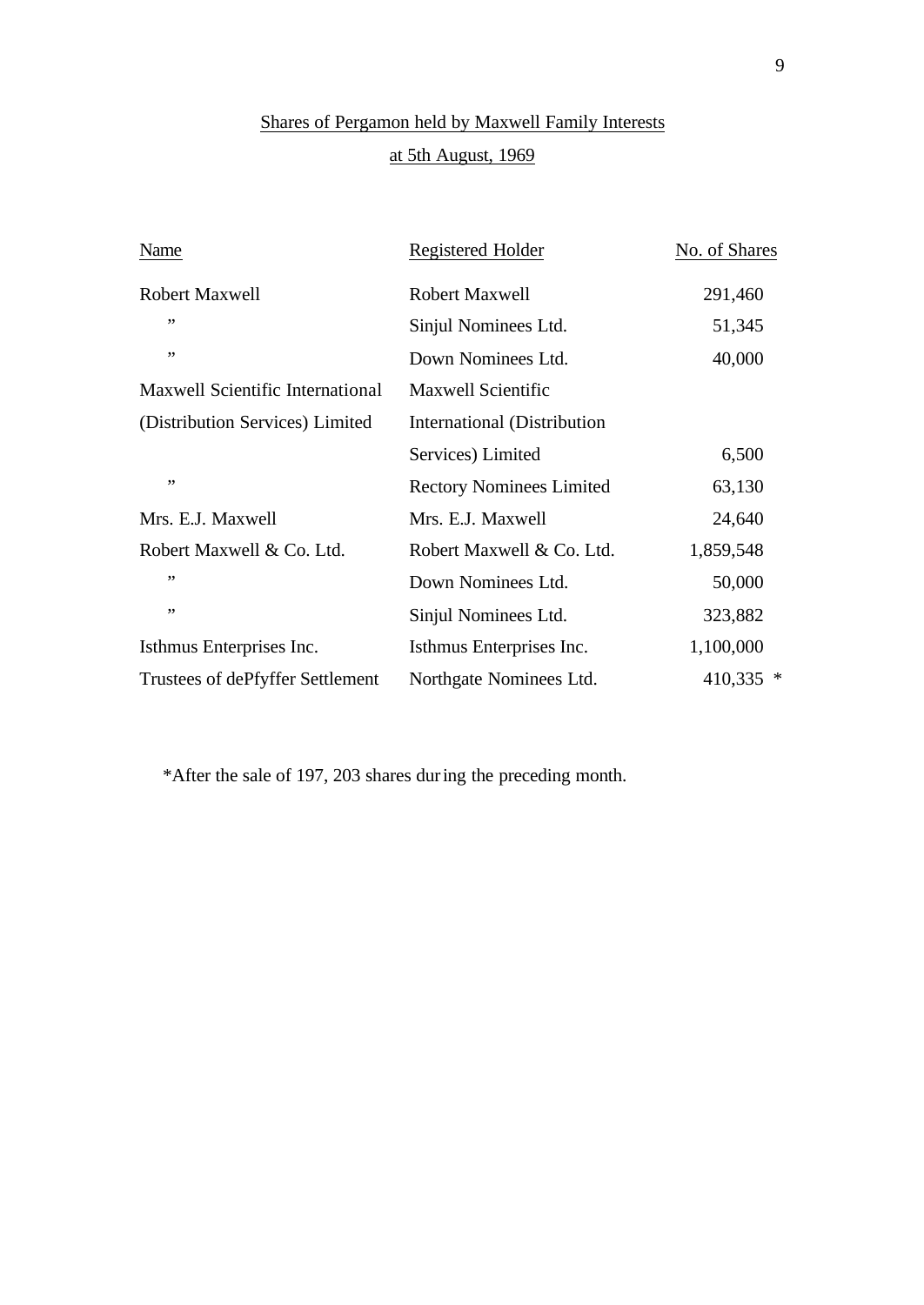## Shares of Pergamon held by Maxwell Family Interests at 5th August, 1969

| Name                             | Registered Holder               | No. of Shares |
|----------------------------------|---------------------------------|---------------|
| <b>Robert Maxwell</b>            | Robert Maxwell                  | 291,460       |
| ,,                               | Sinjul Nominees Ltd.            | 51,345        |
| ,,                               | Down Nominees Ltd.              | 40,000        |
| Maxwell Scientific International | <b>Maxwell Scientific</b>       |               |
| (Distribution Services) Limited  | International (Distribution     |               |
|                                  | Services) Limited               | 6,500         |
| ,,                               | <b>Rectory Nominees Limited</b> | 63,130        |
| Mrs. E.J. Maxwell                | Mrs. E.J. Maxwell               | 24,640        |
| Robert Maxwell & Co. Ltd.        | Robert Maxwell & Co. Ltd.       | 1,859,548     |
| ,,                               | Down Nominees Ltd.              | 50,000        |
| ,,                               | Sinjul Nominees Ltd.            | 323,882       |
| Isthmus Enterprises Inc.         | Isthmus Enterprises Inc.        | 1,100,000     |
| Trustees of dePfyffer Settlement | Northgate Nominees Ltd.         | 410,335 *     |

\*After the sale of 197, 203 shares during the preceding month.